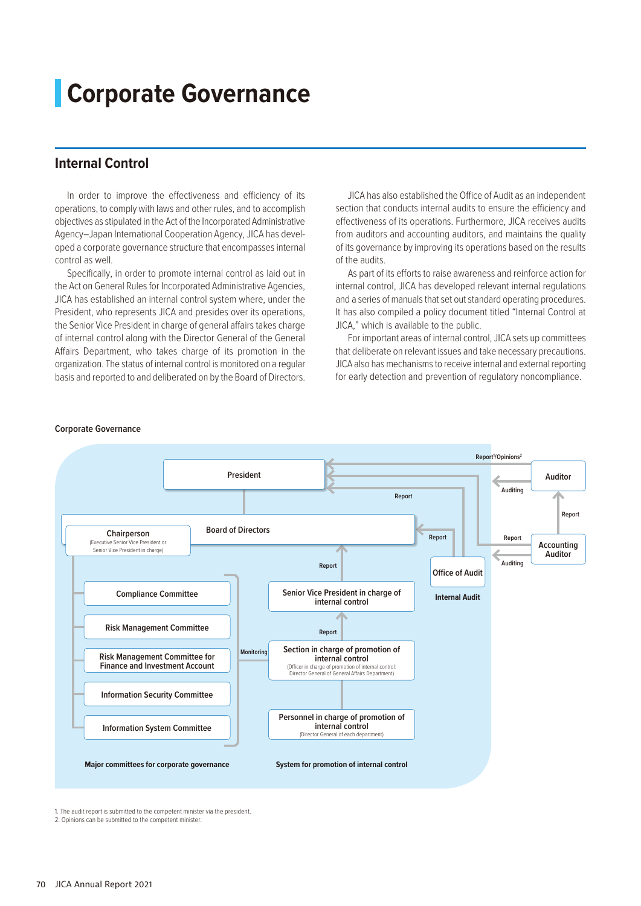# **Corporate Governance**

# **Internal Control**

In order to improve the effectiveness and efficiency of its operations, to comply with laws and other rules, and to accomplish objectives as stipulated in the Act of the Incorporated Administrative Agency–Japan International Cooperation Agency, JICA has developed a corporate governance structure that encompasses internal control as well.

Specifically, in order to promote internal control as laid out in the Act on General Rules for Incorporated Administrative Agencies, JICA has established an internal control system where, under the President, who represents JICA and presides over its operations, the Senior Vice President in charge of general affairs takes charge of internal control along with the Director General of the General Affairs Department, who takes charge of its promotion in the organization. The status of internal control is monitored on a regular basis and reported to and deliberated on by the Board of Directors.

JICA has also established the Office of Audit as an independent section that conducts internal audits to ensure the efficiency and effectiveness of its operations. Furthermore, JICA receives audits from auditors and accounting auditors, and maintains the quality of its governance by improving its operations based on the results of the audits.

As part of its efforts to raise awareness and reinforce action for internal control, JICA has developed relevant internal regulations and a series of manuals that set out standard operating procedures. It has also compiled a policy document titled "Internal Control at JICA," which is available to the public.

For important areas of internal control, JICA sets up committees that deliberate on relevant issues and take necessary precautions. JICA also has mechanisms to receive internal and external reporting for early detection and prevention of regulatory noncompliance.



#### **Corporate Governance**

1. The audit report is submitted to the competent minister via the president.

<sup>2.</sup> Opinions can be submitted to the competent minister.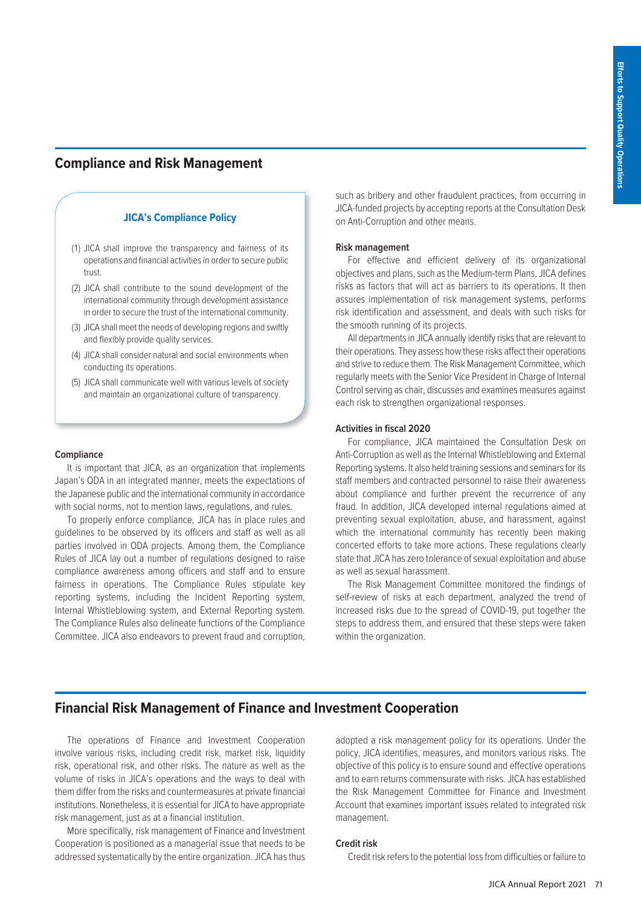# **Compliance and Risk Management**

# **JICA's Compliance Policy**

- (1) JICA shall improve the transparency and fairness of its operations and financial activities in order to secure public trust.
- (2) JICA shall contribute to the sound development of the international community through development assistance in order to secure the trust of the international community.
- (3) JICA shall meet the needs of developing regions and swiftly and flexibly provide quality services.
- (4) JICA shall consider natural and social environments when conducting its operations.
- (5) JICA shall communicate well with various levels of society and maintain an organizational culture of transparency.

#### **Compliance**

It is important that JICA, as an organization that implements Japan's ODA in an integrated manner, meets the expectations of the Japanese public and the international community in accordance with social norms, not to mention laws, regulations, and rules.

To properly enforce compliance, JICA has in place rules and guidelines to be observed by its officers and staff as well as all parties involved in ODA projects. Among them, the Compliance Rules of JICA lay out a number of regulations designed to raise compliance awareness among officers and staff and to ensure fairness in operations. The Compliance Rules stipulate key reporting systems, including the Incident Reporting system, Internal Whistleblowing system, and External Reporting system. The Compliance Rules also delineate functions of the Compliance Committee. JICA also endeavors to prevent fraud and corruption,

such as bribery and other fraudulent practices, from occurring in JICA-funded projects by accepting reports at the Consultation Desk on Anti-Corruption and other means.

## **Risk management**

For effective and efficient delivery of its organizational objectives and plans, such as the Medium-term Plans, JICA defines risks as factors that will act as barriers to its operations. It then assures implementation of risk management systems, performs risk identification and assessment, and deals with such risks for the smooth running of its projects.

All departments in JICA annually identify risks that are relevant to their operations. They assess how these risks affect their operations and strive to reduce them. The Risk Management Committee, which regularly meets with the Senior Vice President in Charge of Internal Control serving as chair, discusses and examines measures against each risk to strengthen organizational responses.

## **Activities in fiscal 2020**

For compliance, JICA maintained the Consultation Desk on Anti-Corruption as well as the Internal Whistleblowing and External Reporting systems. It also held training sessions and seminars for its staff members and contracted personnel to raise their awareness about compliance and further prevent the recurrence of any fraud. In addition, JICA developed internal regulations aimed at preventing sexual exploitation, abuse, and harassment, against which the international community has recently been making concerted efforts to take more actions. These regulations clearly state that JICA has zero tolerance of sexual exploitation and abuse as well as sexual harassment.

The Risk Management Committee monitored the findings of self-review of risks at each department, analyzed the trend of increased risks due to the spread of COVID-19, put together the steps to address them, and ensured that these steps were taken within the organization.

# **Financial Risk Management of Finance and Investment Cooperation**

The operations of Finance and Investment Cooperation involve various risks, including credit risk, market risk, liquidity risk, operational risk, and other risks. The nature as well as the volume of risks in JICA's operations and the ways to deal with them differ from the risks and countermeasures at private financial institutions. Nonetheless, it is essential for JICA to have appropriate risk management, just as at a financial institution.

More specifically, risk management of Finance and Investment Cooperation is positioned as a managerial issue that needs to be addressed systematically by the entire organization. JICA has thus

adopted a risk management policy for its operations. Under the policy, JICA identifies, measures, and monitors various risks. The objective of this policy is to ensure sound and effective operations and to earn returns commensurate with risks. JICA has established the Risk Management Committee for Finance and Investment Account that examines important issues related to integrated risk management.

## **Credit risk**

Credit risk refers to the potential loss from difficulties or failure to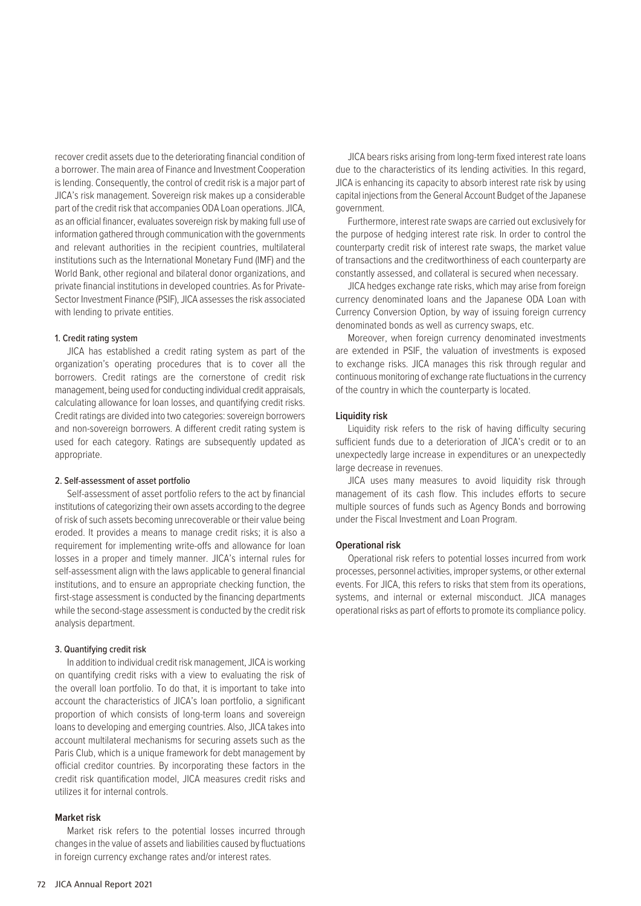recover credit assets due to the deteriorating financial condition of a borrower. The main area of Finance and Investment Cooperation is lending. Consequently, the control of credit risk is a major part of JICA's risk management. Sovereign risk makes up a considerable part of the credit risk that accompanies ODA Loan operations. JICA, as an official financer, evaluates sovereign risk by making full use of information gathered through communication with the governments and relevant authorities in the recipient countries, multilateral institutions such as the International Monetary Fund (IMF) and the World Bank, other regional and bilateral donor organizations, and private financial institutions in developed countries. As for Private-Sector Investment Finance (PSIF), JICA assesses the risk associated with lending to private entities.

## 1. Credit rating system

JICA has established a credit rating system as part of the organization's operating procedures that is to cover all the borrowers. Credit ratings are the cornerstone of credit risk management, being used for conducting individual credit appraisals, calculating allowance for loan losses, and quantifying credit risks. Credit ratings are divided into two categories: sovereign borrowers and non-sovereign borrowers. A different credit rating system is used for each category. Ratings are subsequently updated as appropriate.

#### 2. Self-assessment of asset portfolio

Self-assessment of asset portfolio refers to the act by financial institutions of categorizing their own assets according to the degree of risk of such assets becoming unrecoverable or their value being eroded. It provides a means to manage credit risks; it is also a requirement for implementing write-offs and allowance for loan losses in a proper and timely manner. JICA's internal rules for self-assessment align with the laws applicable to general financial institutions, and to ensure an appropriate checking function, the first-stage assessment is conducted by the financing departments while the second-stage assessment is conducted by the credit risk analysis department.

#### 3. Quantifying credit risk

In addition to individual credit risk management, JICA is working on quantifying credit risks with a view to evaluating the risk of the overall loan portfolio. To do that, it is important to take into account the characteristics of JICA's loan portfolio, a significant proportion of which consists of long-term loans and sovereign loans to developing and emerging countries. Also, JICA takes into account multilateral mechanisms for securing assets such as the Paris Club, which is a unique framework for debt management by official creditor countries. By incorporating these factors in the credit risk quantification model, JICA measures credit risks and utilizes it for internal controls.

## **Market risk**

Market risk refers to the potential losses incurred through changes in the value of assets and liabilities caused by fluctuations in foreign currency exchange rates and/or interest rates.

JICA bears risks arising from long-term fixed interest rate loans due to the characteristics of its lending activities. In this regard, JICA is enhancing its capacity to absorb interest rate risk by using capital injections from the General Account Budget of the Japanese government.

Furthermore, interest rate swaps are carried out exclusively for the purpose of hedging interest rate risk. In order to control the counterparty credit risk of interest rate swaps, the market value of transactions and the creditworthiness of each counterparty are constantly assessed, and collateral is secured when necessary.

JICA hedges exchange rate risks, which may arise from foreign currency denominated loans and the Japanese ODA Loan with Currency Conversion Option, by way of issuing foreign currency denominated bonds as well as currency swaps, etc.

Moreover, when foreign currency denominated investments are extended in PSIF, the valuation of investments is exposed to exchange risks. JICA manages this risk through regular and continuous monitoring of exchange rate fluctuations in the currency of the country in which the counterparty is located.

## **Liquidity risk**

Liquidity risk refers to the risk of having difficulty securing sufficient funds due to a deterioration of JICA's credit or to an unexpectedly large increase in expenditures or an unexpectedly large decrease in revenues.

JICA uses many measures to avoid liquidity risk through management of its cash flow. This includes efforts to secure multiple sources of funds such as Agency Bonds and borrowing under the Fiscal Investment and Loan Program.

#### **Operational risk**

Operational risk refers to potential losses incurred from work processes, personnel activities, improper systems, or other external events. For JICA, this refers to risks that stem from its operations, systems, and internal or external misconduct. JICA manages operational risks as part of efforts to promote its compliance policy.